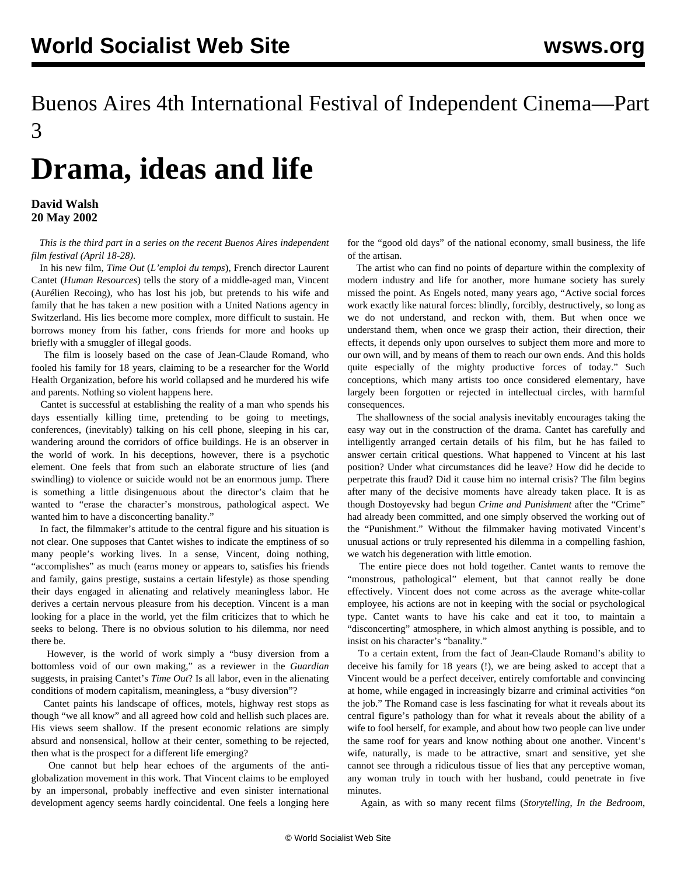## Buenos Aires 4th International Festival of Independent Cinema—Part 3

## **Drama, ideas and life**

## **David Walsh 20 May 2002**

 *This is the third part in a series on the recent Buenos Aires independent film festival (April 18-28).*

 In his new film, *Time Out* (*L'emploi du temps*), French director Laurent Cantet (*Human Resources*) tells the story of a middle-aged man, Vincent (Aurélien Recoing), who has lost his job, but pretends to his wife and family that he has taken a new position with a United Nations agency in Switzerland. His lies become more complex, more difficult to sustain. He borrows money from his father, cons friends for more and hooks up briefly with a smuggler of illegal goods.

 The film is loosely based on the case of Jean-Claude Romand, who fooled his family for 18 years, claiming to be a researcher for the World Health Organization, before his world collapsed and he murdered his wife and parents. Nothing so violent happens here.

 Cantet is successful at establishing the reality of a man who spends his days essentially killing time, pretending to be going to meetings, conferences, (inevitably) talking on his cell phone, sleeping in his car, wandering around the corridors of office buildings. He is an observer in the world of work. In his deceptions, however, there is a psychotic element. One feels that from such an elaborate structure of lies (and swindling) to violence or suicide would not be an enormous jump. There is something a little disingenuous about the director's claim that he wanted to "erase the character's monstrous, pathological aspect. We wanted him to have a disconcerting banality."

 In fact, the filmmaker's attitude to the central figure and his situation is not clear. One supposes that Cantet wishes to indicate the emptiness of so many people's working lives. In a sense, Vincent, doing nothing, "accomplishes" as much (earns money or appears to, satisfies his friends and family, gains prestige, sustains a certain lifestyle) as those spending their days engaged in alienating and relatively meaningless labor. He derives a certain nervous pleasure from his deception. Vincent is a man looking for a place in the world, yet the film criticizes that to which he seeks to belong. There is no obvious solution to his dilemma, nor need there be.

 However, is the world of work simply a "busy diversion from a bottomless void of our own making," as a reviewer in the *Guardian* suggests, in praising Cantet's *Time Out*? Is all labor, even in the alienating conditions of modern capitalism, meaningless, a "busy diversion"?

 Cantet paints his landscape of offices, motels, highway rest stops as though "we all know" and all agreed how cold and hellish such places are. His views seem shallow. If the present economic relations are simply absurd and nonsensical, hollow at their center, something to be rejected, then what is the prospect for a different life emerging?

 One cannot but help hear echoes of the arguments of the antiglobalization movement in this work. That Vincent claims to be employed by an impersonal, probably ineffective and even sinister international development agency seems hardly coincidental. One feels a longing here

for the "good old days" of the national economy, small business, the life of the artisan.

 The artist who can find no points of departure within the complexity of modern industry and life for another, more humane society has surely missed the point. As Engels noted, many years ago, "Active social forces work exactly like natural forces: blindly, forcibly, destructively, so long as we do not understand, and reckon with, them. But when once we understand them, when once we grasp their action, their direction, their effects, it depends only upon ourselves to subject them more and more to our own will, and by means of them to reach our own ends. And this holds quite especially of the mighty productive forces of today." Such conceptions, which many artists too once considered elementary, have largely been forgotten or rejected in intellectual circles, with harmful consequences.

 The shallowness of the social analysis inevitably encourages taking the easy way out in the construction of the drama. Cantet has carefully and intelligently arranged certain details of his film, but he has failed to answer certain critical questions. What happened to Vincent at his last position? Under what circumstances did he leave? How did he decide to perpetrate this fraud? Did it cause him no internal crisis? The film begins after many of the decisive moments have already taken place. It is as though Dostoyevsky had begun *Crime and Punishment* after the "Crime" had already been committed, and one simply observed the working out of the "Punishment." Without the filmmaker having motivated Vincent's unusual actions or truly represented his dilemma in a compelling fashion, we watch his degeneration with little emotion.

 The entire piece does not hold together. Cantet wants to remove the "monstrous, pathological" element, but that cannot really be done effectively. Vincent does not come across as the average white-collar employee, his actions are not in keeping with the social or psychological type. Cantet wants to have his cake and eat it too, to maintain a "disconcerting" atmosphere, in which almost anything is possible, and to insist on his character's "banality."

 To a certain extent, from the fact of Jean-Claude Romand's ability to deceive his family for 18 years (!), we are being asked to accept that a Vincent would be a perfect deceiver, entirely comfortable and convincing at home, while engaged in increasingly bizarre and criminal activities "on the job." The Romand case is less fascinating for what it reveals about its central figure's pathology than for what it reveals about the ability of a wife to fool herself, for example, and about how two people can live under the same roof for years and know nothing about one another. Vincent's wife, naturally, is made to be attractive, smart and sensitive, yet she cannot see through a ridiculous tissue of lies that any perceptive woman, any woman truly in touch with her husband, could penetrate in five minutes.

Again, as with so many recent films (*Storytelling*, *In the Bedroom*,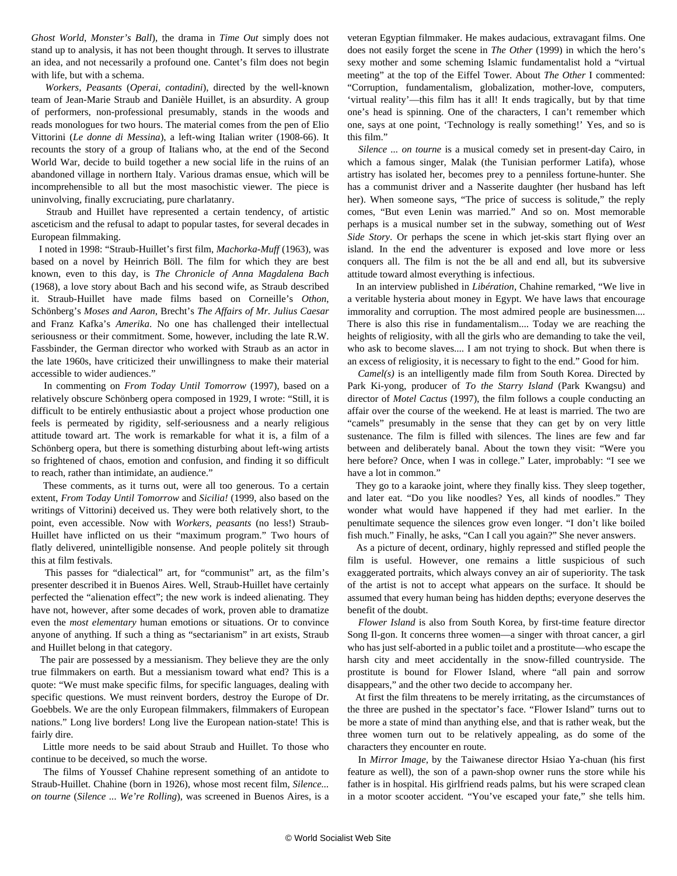*Ghost World*, *Monster's Ball*), the drama in *Time Out* simply does not stand up to analysis, it has not been thought through. It serves to illustrate an idea, and not necessarily a profound one. Cantet's film does not begin with life, but with a schema.

 *Workers, Peasants* (*Operai, contadini*), directed by the well-known team of Jean-Marie Straub and Danièle Huillet, is an absurdity. A group of performers, non-professional presumably, stands in the woods and reads monologues for two hours. The material comes from the pen of Elio Vittorini (*Le donne di Messina*), a left-wing Italian writer (1908-66). It recounts the story of a group of Italians who, at the end of the Second World War, decide to build together a new social life in the ruins of an abandoned village in northern Italy. Various dramas ensue, which will be incomprehensible to all but the most masochistic viewer. The piece is uninvolving, finally excruciating, pure charlatanry.

 Straub and Huillet have represented a certain tendency, of artistic asceticism and the refusal to adapt to popular tastes, for several decades in European filmmaking.

 I noted in 1998: "Straub-Huillet's first film, *Machorka-Muff* (1963), was based on a novel by Heinrich Böll. The film for which they are best known, even to this day, is *The Chronicle of Anna Magdalena Bach* (1968), a love story about Bach and his second wife, as Straub described it. Straub-Huillet have made films based on Corneille's *Othon*, Schönberg's *Moses and Aaron*, Brecht's *The Affairs of Mr. Julius Caesar* and Franz Kafka's *Amerika*. No one has challenged their intellectual seriousness or their commitment. Some, however, including the late R.W. Fassbinder, the German director who worked with Straub as an actor in the late 1960s, have criticized their unwillingness to make their material accessible to wider audiences."

 In commenting on *From Today Until Tomorrow* (1997), based on a relatively obscure Schönberg opera composed in 1929, I wrote: "Still, it is difficult to be entirely enthusiastic about a project whose production one feels is permeated by rigidity, self-seriousness and a nearly religious attitude toward art. The work is remarkable for what it is, a film of a Schönberg opera, but there is something disturbing about left-wing artists so frightened of chaos, emotion and confusion, and finding it so difficult to reach, rather than intimidate, an audience."

 These comments, as it turns out, were all too generous. To a certain extent, *From Today Until Tomorrow* and *Sicilia!* (1999, also based on the writings of Vittorini) deceived us. They were both relatively short, to the point, even accessible. Now with *Workers, peasants* (no less!) Straub-Huillet have inflicted on us their "maximum program." Two hours of flatly delivered, unintelligible nonsense. And people politely sit through this at film festivals.

 This passes for "dialectical" art, for "communist" art, as the film's presenter described it in Buenos Aires. Well, Straub-Huillet have certainly perfected the "alienation effect"; the new work is indeed alienating. They have not, however, after some decades of work, proven able to dramatize even the *most elementary* human emotions or situations. Or to convince anyone of anything. If such a thing as "sectarianism" in art exists, Straub and Huillet belong in that category.

 The pair are possessed by a messianism. They believe they are the only true filmmakers on earth. But a messianism toward what end? This is a quote: "We must make specific films, for specific languages, dealing with specific questions. We must reinvent borders, destroy the Europe of Dr. Goebbels. We are the only European filmmakers, filmmakers of European nations." Long live borders! Long live the European nation-state! This is fairly dire.

 Little more needs to be said about Straub and Huillet. To those who continue to be deceived, so much the worse.

 The films of Youssef Chahine represent something of an antidote to Straub-Huillet. Chahine (born in 1926), whose most recent film, *Silence... on tourne* (*Silence ... We're Rolling*), was screened in Buenos Aires, is a veteran Egyptian filmmaker. He makes audacious, extravagant films. One does not easily forget the scene in *The Other* (1999) in which the hero's sexy mother and some scheming Islamic fundamentalist hold a "virtual meeting" at the top of the Eiffel Tower. About *The Other* I commented: "Corruption, fundamentalism, globalization, mother-love, computers, 'virtual reality'—this film has it all! It ends tragically, but by that time one's head is spinning. One of the characters, I can't remember which one, says at one point, 'Technology is really something!' Yes, and so is this film."

 *Silence ... on tourne* is a musical comedy set in present-day Cairo, in which a famous singer, Malak (the Tunisian performer Latifa), whose artistry has isolated her, becomes prey to a penniless fortune-hunter. She has a communist driver and a Nasserite daughter (her husband has left her). When someone says, "The price of success is solitude," the reply comes, "But even Lenin was married." And so on. Most memorable perhaps is a musical number set in the subway, something out of *West Side Story*. Or perhaps the scene in which jet-skis start flying over an island. In the end the adventurer is exposed and love more or less conquers all. The film is not the be all and end all, but its subversive attitude toward almost everything is infectious.

 In an interview published in *Libération*, Chahine remarked, "We live in a veritable hysteria about money in Egypt. We have laws that encourage immorality and corruption. The most admired people are businessmen.... There is also this rise in fundamentalism.... Today we are reaching the heights of religiosity, with all the girls who are demanding to take the veil, who ask to become slaves.... I am not trying to shock. But when there is an excess of religiosity, it is necessary to fight to the end." Good for him.

 *Camel(s)* is an intelligently made film from South Korea. Directed by Park Ki-yong, producer of *To the Starry Island* (Park Kwangsu) and director of *Motel Cactus* (1997), the film follows a couple conducting an affair over the course of the weekend. He at least is married. The two are "camels" presumably in the sense that they can get by on very little sustenance. The film is filled with silences. The lines are few and far between and deliberately banal. About the town they visit: "Were you here before? Once, when I was in college." Later, improbably: "I see we have a lot in common."

 They go to a karaoke joint, where they finally kiss. They sleep together, and later eat. "Do you like noodles? Yes, all kinds of noodles." They wonder what would have happened if they had met earlier. In the penultimate sequence the silences grow even longer. "I don't like boiled fish much." Finally, he asks, "Can I call you again?" She never answers.

 As a picture of decent, ordinary, highly repressed and stifled people the film is useful. However, one remains a little suspicious of such exaggerated portraits, which always convey an air of superiority. The task of the artist is not to accept what appears on the surface. It should be assumed that every human being has hidden depths; everyone deserves the benefit of the doubt.

 *Flower Island* is also from South Korea, by first-time feature director Song Il-gon. It concerns three women—a singer with throat cancer, a girl who has just self-aborted in a public toilet and a prostitute—who escape the harsh city and meet accidentally in the snow-filled countryside. The prostitute is bound for Flower Island, where "all pain and sorrow disappears," and the other two decide to accompany her.

 At first the film threatens to be merely irritating, as the circumstances of the three are pushed in the spectator's face. "Flower Island" turns out to be more a state of mind than anything else, and that is rather weak, but the three women turn out to be relatively appealing, as do some of the characters they encounter en route.

 In *Mirror Image*, by the Taiwanese director Hsiao Ya-chuan (his first feature as well), the son of a pawn-shop owner runs the store while his father is in hospital. His girlfriend reads palms, but his were scraped clean in a motor scooter accident. "You've escaped your fate," she tells him.